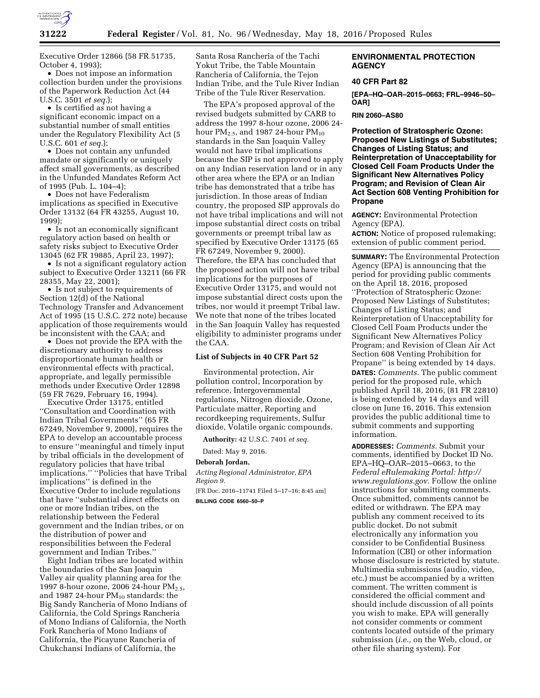

Executive Order 12866 (58 FR 51735, October 4, 1993);

• Does not impose an information collection burden under the provisions of the Paperwork Reduction Act (44 U.S.C. 3501 *et seq.*);

• Is certified as not having a significant economic impact on a substantial number of small entities under the Regulatory Flexibility Act (5 U.S.C. 601 *et seq.*);

• Does not contain any unfunded mandate or significantly or uniquely affect small governments, as described in the Unfunded Mandates Reform Act of 1995 (Pub. L. 104–4);

• Does not have Federalism implications as specified in Executive Order 13132 (64 FR 43255, August 10,  $1999$ 

• Is not an economically significant regulatory action based on health or safety risks subject to Executive Order 13045 (62 FR 19885, April 23, 1997);

• Is not a significant regulatory action subject to Executive Order 13211 (66 FR 28355, May 22, 2001);

• Is not subject to requirements of Section 12(d) of the National Technology Transfer and Advancement Act of 1995 (15 U.S.C. 272 note) because application of those requirements would be inconsistent with the CAA; and

• Does not provide the EPA with the discretionary authority to address disproportionate human health or environmental effects with practical, appropriate, and legally permissible methods under Executive Order 12898 (59 FR 7629, February 16, 1994).

Executive Order 13175, entitled ''Consultation and Coordination with Indian Tribal Governments'' (65 FR 67249, November 9, 2000), requires the EPA to develop an accountable process to ensure ''meaningful and timely input by tribal officials in the development of regulatory policies that have tribal implications.'' ''Policies that have Tribal implications'' is defined in the Executive Order to include regulations that have ''substantial direct effects on one or more Indian tribes, on the relationship between the Federal government and the Indian tribes, or on the distribution of power and responsibilities between the Federal government and Indian Tribes.''

Eight Indian tribes are located within the boundaries of the San Joaquin Valley air quality planning area for the 1997 8-hour ozone, 2006 24-hour PM<sub>2.5</sub>, and 1987 24-hour  $PM_{10}$  standards: the Big Sandy Rancheria of Mono Indians of California, the Cold Springs Rancheria of Mono Indians of California, the North Fork Rancheria of Mono Indians of California, the Picayune Rancheria of Chukchansi Indians of California, the

Santa Rosa Rancheria of the Tachi Yokut Tribe, the Table Mountain Rancheria of California, the Tejon Indian Tribe, and the Tule River Indian Tribe of the Tule River Reservation.

The EPA's proposed approval of the revised budgets submitted by CARB to address the 1997 8-hour ozone, 2006 24 hour  $PM_{2.5}$ , and 1987 24-hour  $PM_{10}$ standards in the San Joaquin Valley would not have tribal implications because the SIP is not approved to apply on any Indian reservation land or in any other area where the EPA or an Indian tribe has demonstrated that a tribe has jurisdiction. In those areas of Indian country, the proposed SIP approvals do not have tribal implications and will not impose substantial direct costs on tribal governments or preempt tribal law as specified by Executive Order 13175 (65 FR 67249, November 9, 2000). Therefore, the EPA has concluded that the proposed action will not have tribal implications for the purposes of Executive Order 13175, and would not impose substantial direct costs upon the tribes, nor would it preempt Tribal law. We note that none of the tribes located in the San Joaquin Valley has requested eligibility to administer programs under the CAA.

# **List of Subjects in 40 CFR Part 52**

Environmental protection, Air pollution control, Incorporation by reference, Intergovernmental regulations, Nitrogen dioxide, Ozone, Particulate matter, Reporting and recordkeeping requirements, Sulfur dioxide, Volatile organic compounds.

**Authority:** 42 U.S.C. 7401 *et seq.* 

Dated: May 9, 2016.

**Deborah Jordan,** 

*Acting Regional Administrator, EPA Region 9.* 

[FR Doc. 2016–11741 Filed 5–17–16; 8:45 am] **BILLING CODE 6560–50–P** 

# **ENVIRONMENTAL PROTECTION AGENCY**

## **40 CFR Part 82**

**[EPA–HQ–OAR–2015–0663; FRL–9946–50– OAR]** 

#### **RIN 2060–AS80**

**Protection of Stratospheric Ozone: Proposed New Listings of Substitutes; Changes of Listing Status; and Reinterpretation of Unacceptability for Closed Cell Foam Products Under the Significant New Alternatives Policy Program; and Revision of Clean Air Act Section 608 Venting Prohibition for Propane** 

**AGENCY:** Environmental Protection Agency (EPA).

**ACTION:** Notice of proposed rulemaking; extension of public comment period.

**SUMMARY:** The Environmental Protection Agency (EPA) is announcing that the period for providing public comments on the April 18, 2016, proposed ''Protection of Stratospheric Ozone: Proposed New Listings of Substitutes; Changes of Listing Status; and Reinterpretation of Unacceptability for Closed Cell Foam Products under the Significant New Alternatives Policy Program; and Revision of Clean Air Act Section 608 Venting Prohibition for Propane'' is being extended by 14 days. **DATES:** *Comments.* The public comment period for the proposed rule, which published April 18, 2016, (81 FR 22810) is being extended by 14 days and will close on June 16, 2016. This extension provides the public additional time to submit comments and supporting information.

**ADDRESSES:** *Comments.* Submit your comments, identified by Docket ID No. EPA–HQ–OAR–2015–0663, to the *Federal eRulemaking Portal: [http://](http://www.regulations.gov) [www.regulations.gov.](http://www.regulations.gov)* Follow the online instructions for submitting comments. Once submitted, comments cannot be edited or withdrawn. The EPA may publish any comment received to its public docket. Do not submit electronically any information you consider to be Confidential Business Information (CBI) or other information whose disclosure is restricted by statute. Multimedia submissions (audio, video, etc.) must be accompanied by a written comment. The written comment is considered the official comment and should include discussion of all points you wish to make. EPA will generally not consider comments or comment contents located outside of the primary submission (*i.e.,* on the Web, cloud, or other file sharing system). For